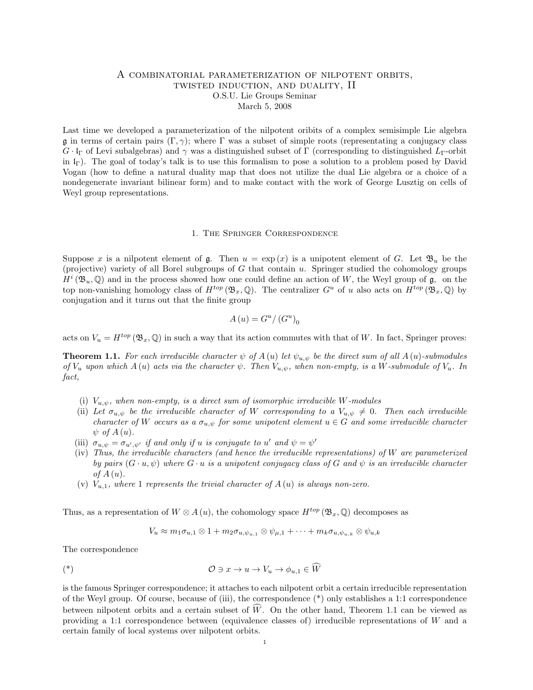## A combinatorial parameterization of nilpotent orbits, twisted induction, and duality, II O.S.U. Lie Groups Seminar March 5, 2008

Last time we developed a parameterization of the nilpotent oribits of a complex semisimple Lie algebra g in terms of certain pairs  $(\Gamma, \gamma)$ ; where  $\Gamma$  was a subset of simple roots (representating a conjugacy class  $G \cdot \Gamma$  of Levi subalgebras) and  $\gamma$  was a distinguished subset of Γ (corresponding to distinguished  $L_{\Gamma}$ -orbit in lΓ). The goal of today's talk is to use this formalism to pose a solution to a problem posed by David Vogan (how to define a natural duality map that does not utilize the dual Lie algebra or a choice of a nondegenerate invariant bilinear form) and to make contact with the work of George Lusztig on cells of Weyl group representations.

## 1. The Springer Correspondence

Suppose x is a nilpotent element of  $\mathfrak g$ . Then  $u = \exp(x)$  is a unipotent element of G. Let  $\mathfrak B_u$  be the (projective) variety of all Borel subgroups of  $G$  that contain  $u$ . Springer studied the cohomology groups  $H^i(\mathfrak{B}_u, \mathbb{Q})$  and in the process showed how one could define an action of W, the Weyl group of  $\mathfrak{g}$ , on the top non-vanishing homology class of  $H^{top}(\mathfrak{B}_x, \mathbb{Q})$ . The centralizer  $G^u$  of u also acts on  $H^{top}(\mathfrak{B}_x, \mathbb{Q})$  by conjugation and it turns out that the finite group

$$
A\left(u\right) = G^u / \left(G^u\right)_0
$$

acts on  $V_u = H^{top}(\mathfrak{B}_x, \mathbb{Q})$  in such a way that its action commutes with that of W. In fact, Springer proves:

**Theorem 1.1.** For each irreducible character  $\psi$  of  $A(u)$  let  $\psi_{u,\psi}$  be the direct sum of all  $A(u)$ -submodules of  $V_u$  upon which  $A(u)$  acts via the character  $\psi$ . Then  $V_{u,v}$ , when non-empty, is a W-submodule of  $V_u$ . In fact,

- (i)  $V_{u,\psi}$ , when non-empty, is a direct sum of isomorphic irreducible W-modules
- (ii) Let  $\sigma_{u,\psi}$  be the irreducible character of W corresponding to a  $V_{u,\psi} \neq 0$ . Then each irreducible character of W occurs as a  $\sigma_{u,v}$  for some unipotent element  $u \in G$  and some irreducible character  $\psi$  of  $A(u)$ .
- (iii)  $\sigma_{u,\psi} = \sigma_{u',\psi'}$  if and only if u is conjugate to u' and  $\psi = \psi'$
- (iv) Thus, the irreducible characters (and hence the irreducible representations) of W are parameterized by pairs  $(G \cdot u, \psi)$  where  $G \cdot u$  is a unipotent conjugacy class of G and  $\psi$  is an irreducible character of  $A(u)$ .
- (v)  $V_{u,1}$ , where 1 represents the trivial character of  $A(u)$  is always non-zero.

Thus, as a representation of  $W \otimes A(u)$ , the cohomology space  $H^{top}(\mathfrak{B}_x, \mathbb{Q})$  decomposes as

$$
V_u \approx m_1 \sigma_{u,1} \otimes 1 + m_2 \sigma_{u,\psi_{u,1}} \otimes \psi_{\mu,1} + \cdots + m_k \sigma_{u,\psi_{u,k}} \otimes \psi_{u,k}
$$

The correspondence

$$
(\ast) \qquad \qquad \mathcal{O} \ni x \to u \to V_u \to \phi_{u,1} \in \widetilde{W}
$$

is the famous Springer correspondence; it attaches to each nilpotent orbit a certain irreducible representation of the Weyl group. Of course, because of (iii), the correspondence (\*) only establishes a 1:1 correspondence between nilpotent orbits and a certain subset of  $\hat{W}$ . On the other hand, Theorem 1.1 can be viewed as providing a 1:1 correspondence between (equivalence classes of) irreducible representations of W and a certain family of local systems over nilpotent orbits.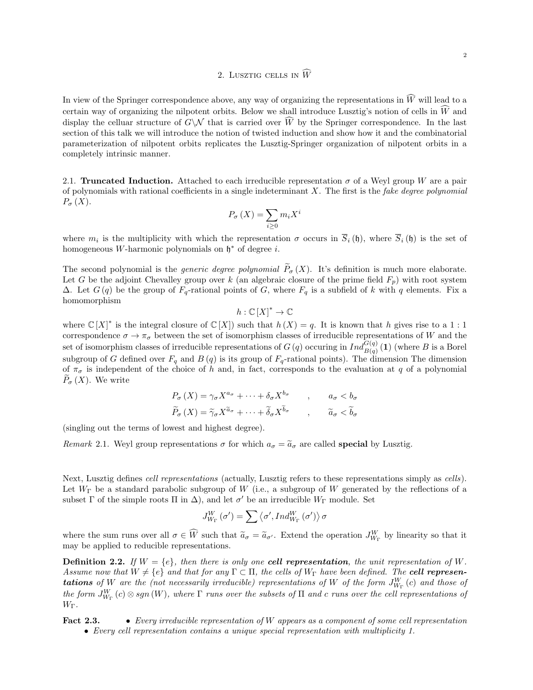## 2. LUSZTIG CELLS IN  $\widehat{W}$

In view of the Springer correspondence above, any way of organizing the representations in  $\widehat{W}$  will lead to a certain way of organizing the nilpotent orbits. Below we shall introduce Lusztig's notion of cells in  $\widehat{W}$  and display the celluar structure of  $G\setminus\mathcal{N}$  that is carried over  $\widehat{W}$  by the Springer correspondence. In the last section of this talk we will introduce the notion of twisted induction and show how it and the combinatorial parameterization of nilpotent orbits replicates the Lusztig-Springer organization of nilpotent orbits in a completely intrinsic manner.

2.1. Truncated Induction. Attached to each irreducible representation  $\sigma$  of a Weyl group W are a pair of polynomials with rational coefficients in a single indeterminant  $X$ . The first is the *fake degree polynomial*  $P_{\sigma}(X).$ 

$$
P_{\sigma}(X) = \sum_{i \ge 0} m_i X^i
$$

where  $m_i$  is the multiplicity with which the representation  $\sigma$  occurs in  $S_i(\mathfrak{h})$ , where  $S_i(\mathfrak{h})$  is the set of homogeneous W-harmonic polynomials on  $\mathfrak{h}^*$  of degree i.

The second polynomial is the *generic degree polynomial*  $\widetilde{P}_{\sigma}(X)$ . It's definition is much more elaborate. Let G be the adjoint Chevalley group over k (an algebraic closure of the prime field  $F_p$ ) with root system  $\Delta$ . Let  $G(q)$  be the group of  $F_q$ -rational points of G, where  $F_q$  is a subfield of k with q elements. Fix a homomorphism

$$
h:\mathbb{C}[X]^*\to\mathbb{C}
$$

where  $\mathbb{C}[X]^*$  is the integral closure of  $\mathbb{C}[X]$  such that  $h(X) = q$ . It is known that h gives rise to a 1 : 1 correspondence  $\sigma \to \pi_{\sigma}$  between the set of isomorphism classes of irreducible representations of W and the set of isomorphism classes of irreducible representations of  $G(q)$  occuring in  $Ind_{B(q)}^{G(q)}(1)$  (where B is a Borel subgroup of G defined over  $F_q$  and  $B(q)$  is its group of  $F_q$ -rational points). The dimension The dimension of  $\pi_{\sigma}$  is independent of the choice of h and, in fact, corresponds to the evaluation at q of a polynomial  $P_{\sigma}(X)$ . We write

$$
P_{\sigma}(X) = \gamma_{\sigma} X^{a_{\sigma}} + \dots + \delta_{\sigma} X^{b_{\sigma}} \qquad , \qquad a_{\sigma} < b_{\sigma}
$$

$$
\widetilde{P}_{\sigma}(X) = \widetilde{\gamma}_{\sigma} X^{\widetilde{a}_{\sigma}} + \dots + \widetilde{\delta}_{\sigma} X^{\widetilde{b}_{\sigma}} \qquad , \qquad \widetilde{a}_{\sigma} < \widetilde{b}_{\sigma}
$$

(singling out the terms of lowest and highest degree).

Remark 2.1. Weyl group representations  $\sigma$  for which  $a_{\sigma} = \tilde{a}_{\sigma}$  are called **special** by Lusztig.

Next, Lusztig defines cell representations (actually, Lusztig refers to these representations simply as cells). Let  $W_{\Gamma}$  be a standard parabolic subgroup of W (i.e., a subgroup of W generated by the reflections of a subset  $\Gamma$  of the simple roots  $\Pi$  in  $\Delta$ ), and let  $\sigma'$  be an irreducible  $W_{\Gamma}$  module. Set

$$
J_{W_{\Gamma}}^{W}\left({\sigma}^{\prime}\right)=\sum\left\langle {\sigma}^{\prime},Ind_{W_{\Gamma}}^{W}\left({\sigma}^{\prime}\right)\right\rangle \sigma
$$

where the sum runs over all  $\sigma \in \widehat{W}$  such that  $\widetilde{a}_{\sigma} = \widetilde{a}_{\sigma'}$ . Extend the operation  $J_{W_{\Gamma}}^{W}$  by linearity so that it may be applied to reducible representations.

**Definition 2.2.** If  $W = \{e\}$ , then there is only one cell representation, the unit representation of W. Assume now that  $W \neq \{e\}$  and that for any  $\Gamma \subset \Pi$ , the cells of  $W_{\Gamma}$  have been defined. The **cell representations** of W are the (not necessarily irreducible) representations of W of the form  $J^W_{W_{\Gamma}}(c)$  and those of the form  $J^W_{W_\Gamma}(c)\otimes sgn\,(W),$  where  $\Gamma$  runs over the subsets of  $\Pi$  and  $c$  runs over the cell representations of  $W_{\Gamma}$ .

Fact 2.3. • Every irreducible representation of W appears as a component of some cell representation • Every cell representation contains a unique special representation with multiplicity 1.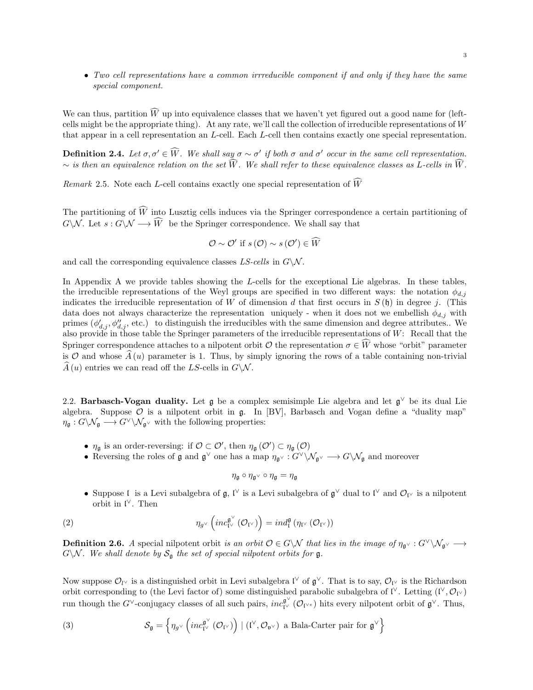• Two cell representations have a common irrreducible component if and only if they have the same special component.

We can thus, partition  $\widehat{W}$  up into equivalence classes that we haven't yet figured out a good name for (leftcells might be the appropriate thing). At any rate, we'll call the collection of irreducible representations of  $W$ that appear in a cell representation an L-cell. Each L-cell then contains exactly one special representation.

**Definition 2.4.** Let  $\sigma, \sigma' \in \widehat{W}$ . We shall say  $\sigma \sim \sigma'$  if both  $\sigma$  and  $\sigma'$  occur in the same cell representation.  $\sim$  is then an equivalence relation on the set  $\widehat{W}$ . We shall refer to these equivalence classes as L-cells in  $\widehat{W}$ .

Remark 2.5. Note each L-cell contains exactly one special representation of  $\widehat{W}$ 

The partitioning of  $\widehat{W}$  into Lusztig cells induces via the Springer correspondence a certain partitioning of  $G\setminus\mathcal{N}$ . Let  $s: G\setminus\mathcal{N} \longrightarrow \widehat{W}$  be the Springer correspondence. We shall say that

$$
\mathcal{O} \sim \mathcal{O}' \text{ if } s(\mathcal{O}) \sim s(\mathcal{O}') \in \widehat{W}
$$

and call the corresponding equivalence classes  $LS$ -cells in  $G\backslash \mathcal{N}$ .

In Appendix A we provide tables showing the L-cells for the exceptional Lie algebras. In these tables, the irreducible representations of the Weyl groups are specified in two different ways: the notation  $\phi_{d,j}$ indicates the irreducible representation of W of dimension d that first occurs in  $S(\mathfrak{h})$  in degree j. (This data does not always characterize the representation uniquely - when it does not we embellish  $\phi_{d,j}$  with primes  $(\phi'_{d,j}, \phi''_{d,j})$ , etc.) to distinguish the irreducibles with the same dimension and degree attributes.. We also provide in those table the Springer parameters of the irreducible representations of  $W$ : Recall that the Springer correspondence attaches to a nilpotent orbit  $\mathcal O$  the representation  $\sigma \in \widehat{W}$  whose "orbit" parameter is O and whose  $\hat{A}(u)$  parameter is 1. Thus, by simply ignoring the rows of a table containing non-trivial  $\widehat{A}(u)$  entries we can read off the LS-cells in  $G\backslash \mathcal{N}$ .

2.2. Barbasch-Vogan duality. Let  $\mathfrak g$  be a complex semisimple Lie algebra and let  $\mathfrak g^\vee$  be its dual Lie algebra. Suppose  $\mathcal O$  is a nilpotent orbit in  $\mathfrak g$ . In [BV], Barbasch and Vogan define a "duality map"  $\eta_{\mathfrak{a}}: G\backslash \mathcal{N}_{\mathfrak{a}} \longrightarrow G^{\vee}\backslash \mathcal{N}_{\mathfrak{a}^{\vee}}$  with the following properties:

- $\eta_{\mathfrak{g}}$  is an order-reversing: if  $\mathcal{O} \subset \mathcal{O}'$ , then  $\eta_{\mathfrak{g}}(\mathcal{O}') \subset \eta_{\mathfrak{g}}(\mathcal{O})$
- Reversing the roles of  $\mathfrak g$  and  $\mathfrak g^\vee$  one has a map  $\eta_{\mathfrak g^\vee}: G^\vee\backslash \mathcal N_{\mathfrak g^\vee}\longrightarrow G\backslash \mathcal N_{\mathfrak g}$  and moreover

$$
\eta_{\mathfrak{g}}\circ\eta_{\mathfrak{g}^\vee}\circ\eta_{\mathfrak{g}}=\eta_{\mathfrak{g}}
$$

• Suppose I is a Levi subalgebra of  $\mathfrak{g}, \mathfrak{l}^\vee$  is a Levi subalgebra of  $\mathfrak{g}^\vee$  dual to  $\mathfrak{l}^\vee$  and  $\mathcal{O}_{\mathfrak{l}^\vee}$  is a nilpotent orbit in  $\mathfrak{l}^\vee$ . Then

(2) 
$$
\eta_{g\vee}\left(inc_{\mathfrak{l}\vee}^{\mathfrak{g}\vee}(\mathcal{O}_{\mathfrak{l}\vee})\right)=ind_{\mathfrak{l}}^{\mathfrak{g}}\left(\eta_{\mathfrak{l}\vee}(\mathcal{O}_{\mathfrak{l}\vee})\right)
$$

**Definition 2.6.** A special nilpotent orbit is an orbit  $\mathcal{O} \in G \setminus \mathcal{N}$  that lies in the image of  $\eta_{\mathfrak{g}^\vee} : G^\vee \setminus \mathcal{N}_{\mathfrak{g}^\vee} \longrightarrow$  $G\backslash \mathcal{N}$ . We shall denote by  $\mathcal{S}_{\mathfrak{g}}$  the set of special nilpotent orbits for  $\mathfrak{g}$ .

Now suppose  $\mathcal{O}_{l}$  is a distinguished orbit in Levi subalgebra  $\mathfrak{l}^{\vee}$  of  $\mathfrak{g}^{\vee}$ . That is to say,  $\mathcal{O}_{l}$  is the Richardson orbit corresponding to (the Levi factor of) some distinguished parabolic subalgebra of  $\mathfrak{l}^{\vee}$ . Letting  $(\mathfrak{l}^{\vee}, \mathcal{O}_{\mathfrak{l}^{\vee}})$ run though the G<sup>∨</sup>-conjugacy classes of all such pairs,  $inc_{\mathcal{V}}^{\mathfrak{g}^{\vee}}(\mathcal{O}_{\mathcal{V}^e})$  hits every nilpotent orbit of  $\mathfrak{g}^{\vee}$ . Thus,

(3) 
$$
\mathcal{S}_{\mathfrak{g}} = \left\{ \eta_{g^{\vee}} \left( inc_{\mathfrak{l}^{\vee}}^{\mathfrak{g}^{\vee}} (\mathcal{O}_{\mathfrak{l}^{\vee}}) \right) \mid (\mathfrak{l}^{\vee}, \mathcal{O}_{\mathfrak{v}^{\vee}}) \text{ a Bala-Carter pair for } \mathfrak{g}^{\vee} \right\}
$$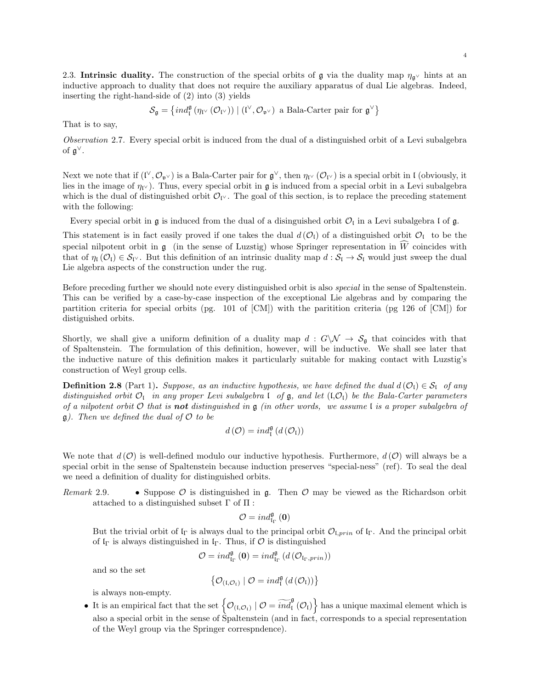2.3. Intrinsic duality. The construction of the special orbits of g via the duality map  $\eta_{\mathfrak{g}^\vee}$  hints at an inductive approach to duality that does not require the auxiliary apparatus of dual Lie algebras. Indeed, inserting the right-hand-side of (2) into (3) yields

 $\mathcal{S}_{\mathfrak{g}} = \left\{ \operatorname{ind}_{\mathfrak{l}}^{\mathfrak{g}} \left( \eta_{\mathfrak{l}^{\vee}} \left( \mathcal{O}_{\mathfrak{l}^{\vee}} \right) \right) \mid (\mathfrak{l}^{\vee}, \mathcal{O}_{\mathfrak{v}^{\vee}}) \text{ a Bala-Carter pair for } \mathfrak{g}^{\vee} \right\}$ 

That is to say,

Observation 2.7. Every special orbit is induced from the dual of a distinguished orbit of a Levi subalgebra of  $\mathfrak{g}^{\vee}$ .

Next we note that if  $(V, \mathcal{O}_{\mathfrak{v}^\vee})$  is a Bala-Carter pair for  $\mathfrak{g}^\vee$ , then  $\eta_{V}(\mathcal{O}_{V})$  is a special orbit in I (obviously, it lies in the image of  $\eta_V$ ). Thus, every special orbit in g is induced from a special orbit in a Levi subalgebra which is the dual of distinguished orbit  $\mathcal{O}_{V}$ . The goal of this section, is to replace the preceding statement with the following:

Every special orbit in  $\mathfrak g$  is induced from the dual of a disinguished orbit  $\mathcal O_{\mathfrak l}$  in a Levi subalgebra  $\mathfrak l$  of  $\mathfrak g$ .

This statement is in fact easily proved if one takes the dual  $d(\mathcal{O}_1)$  of a distinguished orbit  $\mathcal{O}_1$  to be the special nilpotent orbit in  $\mathfrak g$  (in the sense of Luzstig) whose Springer representation in  $\widehat{W}$  coincides with that of  $\eta_1(\mathcal{O}_1) \in \mathcal{S}_{V}$ . But this definition of an intrinsic duality map  $d : \mathcal{S}_{I} \to \mathcal{S}_{I}$  would just sweep the dual Lie algebra aspects of the construction under the rug.

Before preceding further we should note every distinguished orbit is also special in the sense of Spaltenstein. This can be verified by a case-by-case inspection of the exceptional Lie algebras and by comparing the partition criteria for special orbits (pg. 101 of [CM]) with the paritition criteria (pg 126 of [CM]) for distiguished orbits.

Shortly, we shall give a uniform definition of a duality map  $d : G\backslash \mathcal{N} \to \mathcal{S}_\mathfrak{g}$  that coincides with that of Spaltenstein. The formulation of this definition, however, will be inductive. We shall see later that the inductive nature of this definition makes it particularly suitable for making contact with Luzstig's construction of Weyl group cells.

**Definition 2.8** (Part 1). Suppose, as an inductive hypothesis, we have defined the dual  $d(O_i) \in S_i$  of any distinguished orbit  $\mathcal{O}_I$  in any proper Levi subalgebra  $\mathfrak l$  of  $\mathfrak g$ , and let  $(\mathfrak l, \mathcal{O}_I)$  be the Bala-Carter parameters of a nilpotent orbit  $\mathcal O$  that is **not** distinguished in  $\mathfrak g$  (in other words, we assume  $\mathfrak l$  is a proper subalgebra of  $\mathfrak{g}$ ). Then we defined the dual of  $\mathcal O$  to be

$$
\mathop{d}\left(\mathcal{O}\right)=\mathop{\mathop{ind}}\nolimits_{\mathfrak{l}}^{\mathfrak{g}}\left(\mathop{d}\left(\mathcal{O}_{\mathfrak{l}}\right)\right)
$$

We note that  $d(\mathcal{O})$  is well-defined modulo our inductive hypothesis. Furthermore,  $d(\mathcal{O})$  will always be a special orbit in the sense of Spaltenstein because induction preserves "special-ness" (ref). To seal the deal we need a definition of duality for distinguished orbits.

Remark 2.9. • Suppose  $\mathcal O$  is distinguished in  $\mathfrak g$ . Then  $\mathcal O$  may be viewed as the Richardson orbit attached to a distinguished subset  $\Gamma$  of  $\Pi$ :

$$
\mathcal{O}=ind_{\mathfrak{l}_\Gamma}^{\mathfrak{g}}\left(0\right)
$$

But the trivial orbit of  $\mathfrak{l}_{\Gamma}$  is always dual to the principal orbit  $\mathcal{O}_{\mathfrak{l},prin}$  of  $\mathfrak{l}_{\Gamma}$ . And the principal orbit of  $I_{\Gamma}$  is always distinguished in  $I_{\Gamma}$ . Thus, if  $\mathcal O$  is distinguished

$$
\mathcal{O}=ind_{\mathrm{I}_{\Gamma}}^{\mathfrak{g}}\left( \mathbf{0}\right)=ind_{\mathrm{I}_{\Gamma}}^{\mathfrak{g}}\left( d\left( \mathcal{O}_{\mathrm{I}_{\Gamma},prin}\right) \right)
$$

and so the set

$$
\left\{ \mathcal{O}_{\left(\mathfrak{l},\mathcal{O}_{\mathfrak{l}}\right)}\mid\mathcal{O}=ind_{\mathfrak{l}}^{\mathfrak{g}}\left(d\left(\mathcal{O}_{\mathfrak{l}}\right)\right)\right\}
$$

is always non-empty.

• It is an empirical fact that the set  $\left\{ \mathcal{O}_{(I,\mathcal{O}_I)} \mid \mathcal{O} = \widetilde{ind}_I^{\mathfrak{g}}(\mathcal{O}_I) \right\}$  has a unique maximal element which is also a special orbit in the sense of Spaltenstein (and in fact, corresponds to a special representation of the Weyl group via the Springer correspndence).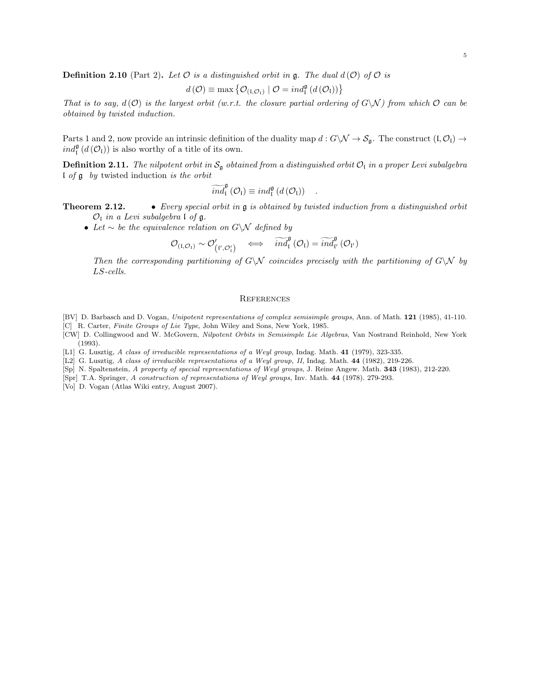**Definition 2.10** (Part 2). Let  $\mathcal O$  is a distinguished orbit in g. The dual  $d(\mathcal O)$  of  $\mathcal O$  is

$$
d\left(\mathcal{O}\right) \equiv \max \left\{ \mathcal{O}_{\left(\mathfrak{l},\mathcal{O}_{\mathfrak{l}}\right)} \mid \mathcal{O} = ind_{\mathfrak{l}}^{\mathfrak{g}}\left(d\left(\mathcal{O}_{\mathfrak{l}}\right)\right)\right\}
$$

That is to say,  $d(O)$  is the largest orbit (w.r.t. the closure partial ordering of  $G\setminus N$ ) from which  $O$  can be obtained by twisted induction.

Parts 1 and 2, now provide an intrinsic definition of the duality map  $d: G\backslash \mathcal{N} \to \mathcal{S}_{\mathfrak{g}}$ . The construct  $(\mathfrak{l}, \mathcal{O}_{\mathfrak{l}}) \to$  $ind_{\mathfrak{l}}^{\mathfrak{g}}\left(d\left(\mathcal{O}_{\mathfrak{l}}\right)\right)$  is also worthy of a title of its own.

**Definition 2.11.** The nilpotent orbit in  $S_g$  obtained from a distinguished orbit  $\mathcal{O}_1$  in a proper Levi subalgebra  $\iota$  of  $\mathfrak g$  by twisted induction is the orbit

$$
\widetilde{ind}_{\mathfrak{l}}^{\mathfrak{g}}\left(\mathcal{O}_{\mathfrak{l}}\right)\equiv ind_{\mathfrak{l}}^{\mathfrak{g}}\left(d\left(\mathcal{O}_{\mathfrak{l}}\right)\right) .
$$

**Theorem 2.12.** • Every special orbit in  $\mathfrak{g}$  is obtained by twisted induction from a distinguished orbit  $\mathcal{O}_I$  in a Levi subalgebra  $\mathfrak l$  of  $\mathfrak g$ .

• Let  $\sim$  be the equivalence relation on G\N defined by

$$
\mathcal{O}_{\left(t,\mathcal{O}_{t}\right)}\sim\mathcal{O}_{\left(t',\mathcal{O}_{t}'\right)}'\quad\Longleftrightarrow\quad\widetilde{\mathit{ind}}_{t}^{\mathfrak{g}}\left(\mathcal{O}_{t}\right)=\widetilde{\mathit{ind}}_{t'}^{\mathfrak{g}}\left(\mathcal{O}_{t'}\right)
$$

Then the corresponding partitioning of  $G\setminus\mathcal{N}$  coincides precisely with the partitioning of  $G\setminus\mathcal{N}$  by LS-cells.

## **REFERENCES**

[BV] D. Barbasch and D. Vogan, Unipotent representations of complex semisimple groups, Ann. of Math. 121 (1985), 41-110. [C] R. Carter, Finite Groups of Lie Type, John Wiley and Sons, New York, 1985.

[CW] D. Collingwood and W. McGovern, Nilpotent Orbits in Semisimple Lie Algebras, Van Nostrand Reinhold, New York (1993).

[L1] G. Lusztig, A class of irreducible representations of a Weyl group, Indag. Math. 41 (1979), 323-335.

[L2] G. Lusztig, A class of irreducible representations of a Weyl group, II, Indag. Math. 44 (1982), 219-226.

- [Sp] N. Spaltenstein, A property of special representations of Weyl groups, J. Reine Angew. Math. 343 (1983), 212-220.
- [Spr] T.A. Springer, A construction of representations of Weyl groups, Inv. Math. 44 (1978). 279-293.
- [Vo] D. Vogan (Atlas Wiki entry, August 2007).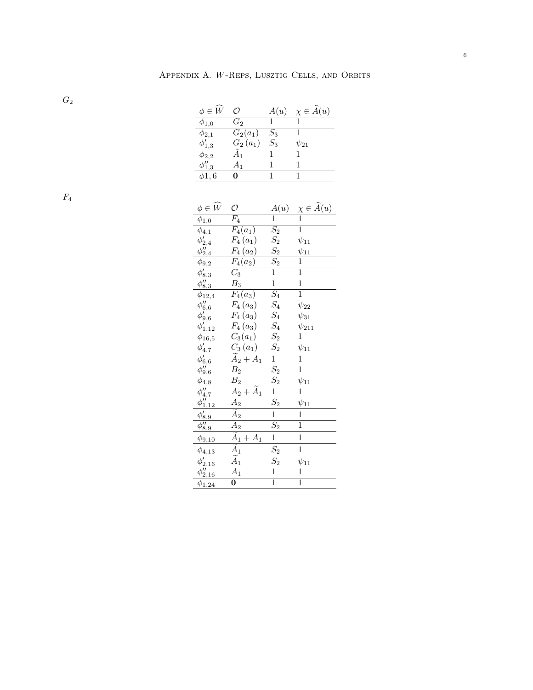$\, G_2 \,$ 

| $\phi \in W$   | Ω          | A(u)  | $\chi \in \overline{A}(u)$ |
|----------------|------------|-------|----------------------------|
| $\phi_{1,0}$   | $G_2$      |       |                            |
| $\phi_{2,1}$   | $G_2(a_1)$ | $S_3$ |                            |
| $\phi'_{1,3}$  | $G_2(a_1)$ | $S_3$ | $\psi_{21}$                |
| $\phi_{2,2}$   | А1         |       |                            |
| $\phi_{1,3}''$ | A1         |       |                            |
| $\phi1.6$      |            |       |                            |

 $\mathcal{F}_4$ 

| $\phi \in \widehat{W}$                                                                | O                                   | A(u)                                 | $\frac{\chi \in \widehat{A}(u)}{1}$ |
|---------------------------------------------------------------------------------------|-------------------------------------|--------------------------------------|-------------------------------------|
| $\phi_{1,0}$                                                                          | $\overline{F_4}$                    | $\overline{1}$                       |                                     |
| $\overline{\phi_{4,1}}$                                                               | $F_4(a_1)$                          | $\overline{S_2}$                     | $\overline{1}$                      |
|                                                                                       | $F_4(a_1)$                          |                                      | $\psi_{11}$                         |
| $\phi'_{2,4}$                                                                         | $F_4(a_2)$                          |                                      | $\psi_{11}$                         |
|                                                                                       | $\overline{F_4}(a_2)$               | $\frac{S_2}{S_2}$<br>$\frac{S_2}{1}$ | $\mathbf 1$                         |
|                                                                                       | $\overline{C_3}$                    |                                      | $\overline{1}$                      |
| $\frac{\phi_{9,2}}{\phi'_{8,3}}$<br>$\frac{\phi'_{8,3}}{\phi_{8,3}}$<br>$\phi_{12,4}$ | $\overline{B}_3$                    | $\overline{1}$                       | $\overline{1}$                      |
|                                                                                       | $F_4(a_3)$                          | $\overline{S_4}$                     | $\overline{1}$                      |
| $\phi_{6,6}''$<br>$\phi_{9,6}''$                                                      | $F_4(a_3)$                          | $\mathcal{S}_4$                      | $\psi_{22}$                         |
|                                                                                       | $F_4(a_3)$                          | $S_4$                                | $\psi_{31}$                         |
| $\phi'_{1,12}$                                                                        | $F_4(a_3)$                          | $\mathcal{S}_4$                      | $\psi_{211}$                        |
| $\phi_{16,5}$                                                                         | $C_3(a_1)$                          | $\mathcal{S}_2$                      | 1                                   |
| $\phi_{4,7}'$                                                                         | $C_3(a_1)$                          | $\mathcal{S}_2$                      | $\psi_{11}$                         |
| $\phi'_{6,6}$<br>$\phi_{9,6}''$                                                       | $A_2 + A_1$                         | $\mathbf{1}$                         | 1                                   |
|                                                                                       | $\mathcal{B}_2$                     | $S_2$                                | $\mathbf{1}$                        |
| $\phi_{4,8}$                                                                          | B <sub>2</sub>                      | $S_2$                                | $\psi_{11}$                         |
|                                                                                       | $A_2 + \overline{A}_1$              | $\mathbf 1$                          | 1                                   |
| $\phi''_{4,7}$<br>$\phi''_{1,12}$                                                     | A <sub>2</sub>                      | $S_2$                                | $\psi_{11}$                         |
|                                                                                       | $\widetilde{A}_2$                   | $\mathbf{1}$                         | $\mathbf{1}$                        |
| $\frac{\phi_{8,9}'}{\phi_{8,9}''}$                                                    | $\overline{A_2}$                    | $\overline{S_2}$                     | $\overline{1}$                      |
| $\phi_{9,10}$                                                                         | $\widetilde{A}_1 + \underline{A_1}$ | $\mathbf{1}$                         | $\overline{1}$                      |
| $\phi_{4,13}$                                                                         | $\widetilde{A}_1$                   | $S_2$                                | $\mathbf{1}$                        |
| $\phi_{2,16}'$                                                                        | $\widetilde{A}_1$                   | $S_2$                                | $\psi_{11}$                         |
| $\phi_{2,16}''$                                                                       | $A_1$                               | $\mathbf{1}$                         | 1                                   |
| $\phi_{1,24}$                                                                         | $\bf{0}$                            | $\mathbf{1}$                         | $\mathbf 1$                         |
|                                                                                       |                                     |                                      |                                     |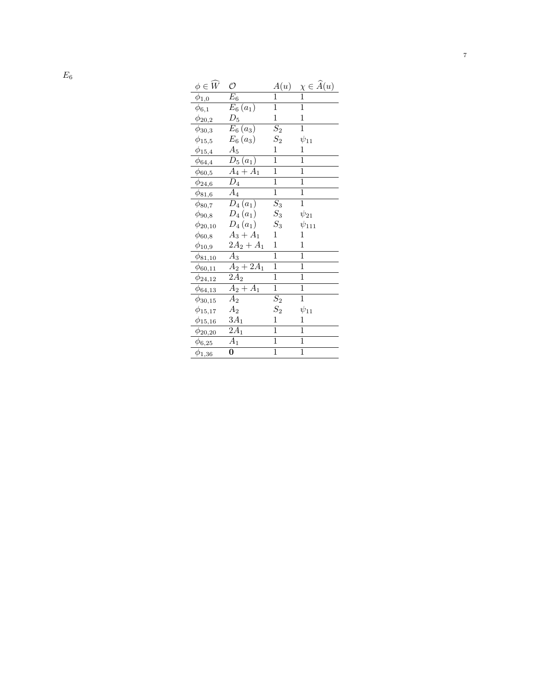| $\phi \in W$               | O                      | A(u)             | $\frac{\chi \in \widehat{A}(u)}{1}$ |
|----------------------------|------------------------|------------------|-------------------------------------|
| $\phi_{1,0}$               | $E_6$                  | 1                |                                     |
| $\phi_{6,1}$               | $E_6(a_1)$             | 1                | 1                                   |
| $\phi_{20,2}$              | $D_5$                  | $\mathbf 1$      | $\mathbf{1}$                        |
| $\phi_{30,3}$              | $E_6(a_3)$             | $\overline{S_2}$ | $\mathbf{1}$                        |
| $\phi_{15,5}$              | $E_6(a_3)$             | $S_{2}$          | $\psi_{11}$                         |
| $\phi_{15,4}$              | $\mathcal{A}_5$        | $\mathbf{1}$     | $\mathbf 1$                         |
| $\phi_{64,4}$              | $D_5(a_1)$             | $\mathbf{1}$     | 1                                   |
| $\phi_{60,5}$              | $\overline{A}_4+A_1$   | $\overline{1}$   | $\mathbf{1}$                        |
| $\phi_{24,6}$              | $\overline{D}_4$       | $\mathbf{1}$     | $\mathbf{1}$                        |
| $\phi_{81,6}$              | $\overline{A_4}$       | $\mathbf 1$      | 1                                   |
| $\phi_{80,7}$              | $D_4(a_1)$             | $\overline{S_3}$ | $\mathbf{1}$                        |
| $\phi_{90,8}$              | $D_4(a_1)$             | $S_3$            | $\psi_{21}$                         |
| $\phi_{20,10}$             | $D_4(a_1)$             | $\mathcal{S}_3$  | $\psi_{111}$                        |
| $\phi_{60,8}$              | $A_3 + A_1$            | $\mathbf{1}$     | $\mathbf{1}$                        |
| $\phi_{10,9}$              | $2A_2 + A_1$           | $\mathbf 1$      | 1                                   |
| $\phi_{81,10}$             | $A_3$                  | $\mathbf 1$      | 1                                   |
| $\phi_{60,11}$             | $A_2 + 2A_1$           | $\overline{1}$   | $\mathbf{1}$                        |
| $\phi_{24,12}$             | $\overline{2A_2}$      | $\overline{1}$   | $\overline{1}$                      |
| $\phi_{64,13}$             | $\overline{A_2} + A_1$ | $\overline{1}$   | $\mathbf{1}$                        |
| $\phi_{30,15}$             | $\overline{A}_2$       | $\overline{S_2}$ | $\overline{1}$                      |
| $\phi_{15,17}$             | A <sub>2</sub>         | $S_2$            | $\psi_{11}$                         |
| $\phi_{\underline{15,16}}$ | $3A_1$                 | $\mathbf{1}$     | $\mathbf{1}$                        |
| $\phi_{20,20}$             | $\overline{2A}_1$      | $\overline{1}$   | $\mathbf{1}$                        |
| $\phi_{6,25}$              | $\overline{A}_1$       | $\overline{1}$   | $\mathbf{1}$                        |
| $\phi_{1,36}$              | 0                      | $\mathbf 1$      | $\mathbf{1}$                        |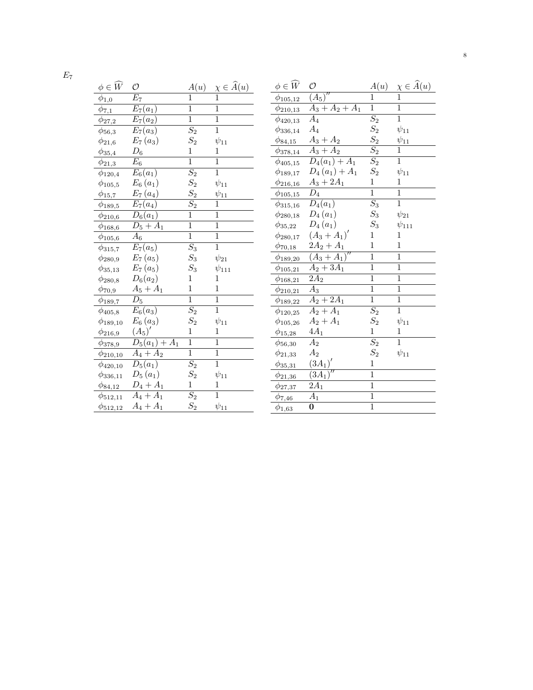| $\phi \in \widehat{W}$                                   | O                      | A(u)             | $\chi \in \widehat{A}(u)$ |
|----------------------------------------------------------|------------------------|------------------|---------------------------|
| $\phi_{1,0}$                                             | $\overline{E}_7$       | $\overline{1}$   | $\overline{1}$            |
| $\phi_{\overline{7},1}$                                  | $E_7(a_1)$             | $\overline{1}$   | $\mathbf 1$               |
| $\phi_{\underline{27,2}}$                                | $E_7(a_2)$             | $\overline{1}$   | $\overline{1}$            |
| $\phi_{56,3}$                                            | $E_7(a_3)$             | $\overline{S_2}$ | $\overline{1}$            |
| $\phi_{21,6}$                                            | $E_7(a_3)$             | $S_{2}$          | $\psi_{11}$               |
| $\phi_{35,4}$                                            | $D_6$                  | $\mathbf 1$      | $\mathbf{1}$              |
| $\phi_{21,3}$                                            | $\overline{E}_6$       | $\overline{1}$   | $\mathbf{1}$              |
| $\phi_{120,4}$                                           | $E_6(a_1)$             | $\overline{S_2}$ | $\overline{1}$            |
| $\phi_{105,5}$                                           | $E_6(a_1)$             | $S_2$<br>$S_2$   | $\psi_{11}$               |
| $\phi_{15,7}$                                            | $E_7(a_4)$             |                  | $\psi_{11}$               |
| $\phi_{189,5}$                                           | $\overline{E}_7(a_4)$  | $\overline{S_2}$ | $\overline{1}$            |
| $\phi_{210,6}$                                           | $\overline{D}_6(a_1)$  | $\mathbf{1}$     | $\mathbf 1$               |
| $\phi_{168,6}$                                           | $D_5 + A_1$            | $\overline{1}$   | $\overline{1}$            |
| $\phi_{{\underline{105}},6}$                             | $\overline{A}_6$       | $\overline{1}$   | $\overline{1}$            |
| $\phi_{315,7}$                                           | $E_7(a_5)$             | $\overline{S_3}$ | $\mathbf 1$               |
| $\phi_{280,9}$                                           | $E_7(a_5)$             | $S_3$            | $\psi_{21}$               |
| $\phi_{35,13}$                                           | $E_7(a_5)$             | $S_3$            | $\psi_{111}$              |
| $\phi_{280,8}$                                           | $D_6(a_2)$             | 1                | 1                         |
| $\phi_{70,9}$                                            | $A_5 + A_1$            | $\overline{1}$   | $\mathbf{1}$              |
| $\phi_{189,7}$                                           | $\overline{D}_5$       | $\mathbf{1}$     | $\mathbf 1$               |
| $\phi_{405,8}$                                           | $E_6(a_3)$             | $\overline{S_2}$ | $\overline{1}$            |
| $\phi_{189,10}$                                          | $E_6(a_3)$             | $S_2$            | $\psi_{11}$               |
| $\phi_{{\bf 2}\underline{1}\underline{6},\underline{9}}$ | $(A_5)'$               | $\mathbf{1}$     | $\mathbf 1$               |
| $\phi_{378,9}$                                           | $D_5(a_1) + A_1$       | $\mathbf 1$      | $\mathbf{1}$              |
| $\phi_{210,10}$                                          | $\overline{A_4} + A_2$ | $\overline{1}$   | $\overline{1}$            |
| $\phi_{420,10}$                                          | $\overline{D_5(a_1)}$  | $\overline{S_2}$ | $\overline{1}$            |
| $\phi_{336,11}$                                          | $D_5(a_1)$             | $S_2$            | $\psi_{11}$               |
| $\phi_{84,12}$                                           | $D_4 + A_1$            | $\mathbf{1}$     | $\mathbf{1}$              |
| $\phi_{512,11}$                                          | $A_4 + A_1$            | $\overline{S_2}$ | $\overline{1}$            |
| $\phi_{512,12}$                                          | $A_4 + A_1$            | $S_2$            | $\psi_{11}$               |

| $\phi \in \widehat{W}$      | O                             | A(u)             | $\chi \in \widehat{A}(u)$ |
|-----------------------------|-------------------------------|------------------|---------------------------|
| $\phi_{105,12}$             | $\overline{\overline{(A_5)}}$ | $\mathbf{1}$     | $\mathbf 1$               |
| $\phi_{210,13}$             | $A_3 + A_2 + A_1$             | $\mathbf{1}$     | $\mathbf 1$               |
| $\phi_{420,13}$             | $\overline{A}_4$              | $\overline{S_2}$ | $\overline{1}$            |
| $\phi_{336,14}$             | $A_4$                         | $S_2$            | $\psi_{11}$               |
| $\phi_{84,15}$              | $A_3 + A_2$                   | $S_2$            | $\psi_{1\underline{1}}$   |
| $\phi_{{378,14}}$           | $\overline{A}_3 + A_2$        | $\overline{S_2}$ | $\mathbf 1$               |
| $\phi_{405,15}$             | $\overline{D_4(a_1)+A_1}$     | $\overline{S_2}$ | 1                         |
| $\phi_{189,17}$             | $D_4(a_1) + A_1$              | $S_2$            | $\psi_{11}$               |
| $\phi_{{\frac{216,16}{2}}}$ | $A_3 + 2A_1$                  | $\mathbf{1}$     | $\mathbf 1$               |
| $\phi_{105,15}$             | $\overline{D_4}$              | 1                | 1                         |
| $\phi_{315,16}$             | $D_4(a_1)$                    | $\overline{S_3}$ | $\overline{1}$            |
| $\phi_{280,18}$             | $D_4(a_1)$                    | $S_3$            | $\psi_{21}$               |
| $\phi_{35,22}$              | $D_4(a_1)$                    | $S_3$            | $\psi_{111}$              |
| $\phi_{280,17}$             | $(A_3 + A_1)'$                | $\mathbf{1}$     | 1                         |
| $\phi_{70,18}$              | $2A_2 + A_1$                  | 1                | 1                         |
| $\phi_{189,20}$             | $(A_3 + A_1)''$               | $\overline{1}$   | $\overline{1}$            |
| $\phi_{105,21}$             | $A_2 + 3A_1$                  | $\mathbf{1}$     | $\mathbf 1$               |
| $\phi_{168,21}$             | $\overline{2A}_2$             | $\overline{1}$   | $\mathbf 1$               |
| $\phi_{210,21}$             | $\overline{A}_3$              | $\overline{1}$   | $\overline{1}$            |
| $\phi_{189,22}$             | $A_2 + 2A_1$                  | $\mathbf{1}$     | $\mathbf 1$               |
| $\phi_{120,25}$             | $\overline{A_2 + A_1}$        | $\overline{S_2}$ | $\overline{1}$            |
| $\phi_{105,26}$             | $A_2 + A_1$                   | $S_2$            | $\psi_{11}$               |
| $\phi_{15,28}$              | $4A_1$                        | $\mathbf{1}$     | 1                         |
| $\phi_{56,30}$              | $\overline{A}_2$              | $\overline{S_2}$ | $\mathbf{1}$              |
| $\phi_{21,33}$              | $\mathcal{A}_2$               | $S_2$            | $\psi_{11}$               |
| $\phi_{{35,31}}$            | $(3A_1)$                      | $\mathbf{1}$     |                           |
| $\phi_{21,36}$              | $\overline{(3A_1}$            | $\overline{1}$   |                           |
| $\phi_{27,37}$              | $2A_1$                        | $\overline{1}$   |                           |
| $\phi_{7,46}$               | $\overline{A}_1$              | $\overline{1}$   |                           |
| $\phi_{1,63}$               | 0                             | $\overline{1}$   |                           |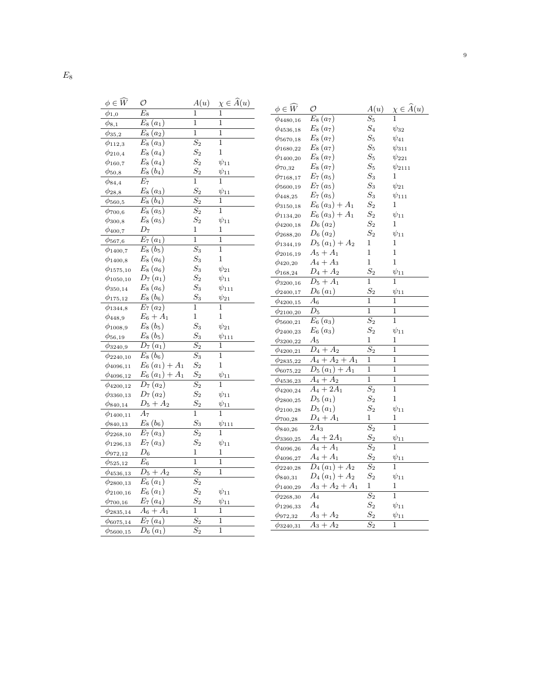| $\phi \in \widehat{W}$ | O                                | A(u)             | $\chi \in \widehat{A}(u)$ |
|------------------------|----------------------------------|------------------|---------------------------|
| $\phi_{1,0}$           | $\overline{E_{8}}$               | 1                | 1                         |
| $\phi_{8,1}$           | $\overline{E_8}(a_1)$            | $\overline{1}$   | $\overline{1}$            |
| $\phi_{35,2}$          | $\overline{E}_8(a_2)$            | $\overline{1}$   | $\mathbf 1$               |
| $\phi_{112,3}$         | $\overline{E}_8(a_3)$            | $\overline{S_2}$ | $\mathbf 1$               |
| $\phi_{210,4}$         | $E_8(a_4)$                       | $S_2$            | 1                         |
| $\phi_{160,7}$         | $E_8(a_4)$                       | $S_2$            | $\psi_{11}$               |
| $\phi_{50,8}$          | $E_8(b_4)$                       | $S_2$            | $\psi_{11}$               |
| $\phi_{84,4}$          | $\overline{E_7}$                 | $\overline{1}$   | $\mathbf{1}$              |
| $\phi_{28,8}$          | $E_8(a_3)$                       | $S_2$            | $\psi_{11}$               |
| $\phi_{560,5}$         | $\overline{E_8}\left(b_4\right)$ | $\overline{S_2}$ | 1                         |
| $\phi_{700,6}$         | $\overline{E}_8(a_5)$            | $\overline{S_2}$ | $\overline{1}$            |
| $\phi_{300,8}$         | $E_8(a_5)$                       | $S_{2}$          | $\psi_{11}$               |
| $\phi_{400,7}$         | $D_7$                            | 1                | 1                         |
| $\phi_{567,6}$         | $\overline{E}_7\left(a_1\right)$ | $\overline{1}$   | $\overline{1}$            |
| $\phi_{1400,7}$        | $E_8(b_5)$                       | $\overline{S_3}$ | 1                         |
| $\phi_{1400, 8}$       | $E_8(a_6)$                       | $S_3$            | $\overline{1}$            |
| $\phi_{1575,10}$       | $E_8(a_6)$                       | $S_3$            | $\psi_{21}$               |
| $\phi_{1050,10}$       | $D_7(a_1)$                       | $S_2$            | $\psi_{11}$               |
| $\phi_{350,14}$        | $E_8(a_6)$                       | $S_3$            | $\psi_{111}$              |
| $\phi_{175,12}$        | $E_8(b_6)$                       | $S_{3}$          | $\psi_{21}$               |
| $\phi_{1344,8}$        | $\overline{E_7}\left(a_2\right)$ | 1                | 1                         |
| $\phi_{448,9}$         | $E_6 + A_1$                      | 1                | 1                         |
| $\phi_{1008,9}$        | $E_8(b_5)$                       | $S_3$            | $\psi_{21}$               |
| $\phi_{56,19}$         | $E_8(b_5)$                       | $S_3$            | $\psi_{11\underline{1}}$  |
| $\phi_{3240,9}$        | $D_7(a_1)$                       | $\overline{S_2}$ | 1                         |
| $\phi_{2240,10}$       | $E_8(b_6)$                       | $\overline{S_3}$ | $\overline{1}$            |
| $\phi_{4096,11}$       | $E_6(a_1) + A_1$                 | $S_2$            | 1                         |
| $\phi_{4096,12}$       | $E_6(a_1) + A_1$                 | $S_2$            | $\psi_{11}$               |
| $\phi_{4200,12}$       | $D_7(a_2)$                       | $\overline{S_2}$ | 1                         |
| $\phi_{3360,13}$       | $D_7(a_2)$                       | $\overline{S_2}$ | $\psi_{11}$               |
| $\phi_{840,14}$        | $D_5 + A_2$                      | $S_{2}$          | $\psi_{11}$               |
| $\phi_{1400,11}$       | $\overline{A_7}$                 | $\overline{1}$   | 1                         |
| $\phi_{840,13}$        | $E_8(b_6)$                       | $S_3$            | $\psi_{111}$              |
| $\phi_{2268,10}$       | $\overline{E}_7\left(a_3\right)$ | $\overline{S_2}$ | 1                         |
| $\phi_{1296,13}$       | $E_7(a_3)$                       | $S_2$            | $\psi_{11}$               |
| $\phi_{972,12}$        | $D_6$                            | 1                | 1                         |
| $\phi_{525,12}$        | $E_6$                            | 1                | 1                         |
| $\phi_{4536,13}$       | $D_5 + A_2$                      | $\overline{S_2}$ | 1                         |
| $\phi_{2800,13}$       | $E_6(a_1)$                       | $\overline{S_2}$ |                           |
| $\phi_{2100,16}$       | $E_6(a_1)$                       | $S_2$            | $\psi_{11}$               |
| $\phi_{700,16}$        | $E_7(a_4)$                       | $S_2$            | $\psi_{11}$               |
| $\phi_{2835,14}$       | $A_6 + A_1$                      | $\overline{1}$   | 1                         |
| $\phi_{6075,14}$       | $\overline{E_7}\left(a_4\right)$ | $\overline{S_2}$ | $\mathbf{1}$              |
| $\phi_{\rm 5600,15}$   | $D_6(a_1)$                       | $\overline{S_2}$ | $\mathbf 1$               |

| $\phi \in \widehat{W}$ | O                                | A(u)             | $\chi \in \widehat{A}(u)$ |
|------------------------|----------------------------------|------------------|---------------------------|
| $\phi_{4480,16}$       | $\overline{E_8}\left(a_7\right)$ | $S_5$            |                           |
| $\phi_{4536,18}$       | $E_8(a_7)$                       | $S_4$            | $\psi_{32}$               |
| $\phi_{\rm 5670,18}$   | $E_8(a_7)$                       | $S_{5}$          | $\psi_{41}$               |
| $\phi_{1680,22}$       | $E_8(a_7)$                       | $S_5$            | $\psi_{311}$              |
| $\phi_{1400,20}$       | $E_8(a_7)$                       | $\mathcal{S}_5$  | $\psi_{221}$              |
| $\phi_{70,32}$         | $E_8(a_7)$                       | $S_5$            | $\psi_{2111}$             |
| $\phi_{7168,17}$       | $E_7(a_5)$                       | $S_3$            | 1                         |
| $\phi_{5600,19}$       | $E_7(a_5)$                       | $S_3$            | $\psi_{21}$               |
| $\phi_{448,25}$        | $E_7(a_5)$                       | $S_3$            | $\psi_{111}$              |
| $\phi_{3150,18}$       | $E_6(a_3) + A_1$                 | $S_2$            | 1                         |
| $\phi_{1134,20}$       | $E_6(a_3) + A_1$                 | $S_2$            | $\psi_{11}$               |
| $\phi_{4200,18}$       | $D_6(a_2)$                       | $S_2$            | 1                         |
| $\phi_{2688,20}$       | $D_6(a_2)$                       | $S_2$            | $\psi_{11}$               |
| $\phi_{1344,19}$       | $D_5(a_1) + A_2$                 | 1                | 1                         |
| $\phi_{2016,19}$       | $A_5 + A_1$                      | $\overline{1}$   | $\mathbf 1$               |
| $\phi_{420,20}$        | $A_4 + A_3$                      | $\overline{1}$   | $\mathbf 1$               |
| $\phi_{168,24}$        | $D_4 + A_2$                      | $S_2$            | $\psi_{11}$               |
| $\phi_{3200,16}$       | $\overline{D_5 + A_1}$           | $\overline{1}$   | 1                         |
| $\phi_{2400,17}$       | $D_6(a_1)$                       | $S_2$            | $\psi_{11}$               |
| $\phi_{4200,15}$       | $\overline{A_6}$                 | $\overline{1}$   | 1                         |
| $\phi_{2100,20}$       | $\overline{D}_5$                 | $\overline{1}$   | $\overline{1}$            |
| $\phi_{\rm 5600, 21}$  | $E_6(a_3)$                       | $\overline{S_2}$ | 1                         |
| $\phi_{2400,23}$       | $E_6(a_3)$                       | $S_2$            | $\psi_{11}$               |
| $\phi_{3200,22}$       | $A_{5}$                          | 1                | 1                         |
| $\phi_{4200,21}$       | $D_4 + A_2$                      | $\overline{S_2}$ | 1                         |
| $\phi_{2835,22}$       | $A_4 + A_2 + A_1$                | 1                | $\mathbf 1$               |
| $\phi_{6075,22}$       | $D_5(a_1) + A_1$                 | $\mathbf{1}$     | 1                         |
| $\phi_{4536,23}$       | $A_4 + A_2$                      | $\overline{1}$   | $\mathbf{1}$              |
| $\phi_{4200,24}$       | $A_4 + 2A_1$                     | $\overline{S_2}$ | $\mathbf{1}$              |
| $\phi_{2800,25}$       | $D_5(a_1)$                       | $S_2$            | $\mathbf{1}$              |
| $\phi_{2100,28}$       | $D_5(a_1)$                       | $S_2$            | $\psi_{11}$               |
| $\phi_{700,28}$        | $D_4 + A_1$                      | 1                | 1                         |
| $\phi_{840,26}$        | $2A_3$                           | $\overline{S_2}$ | 1                         |
| $\phi_{3360,25}$       | $A_4 + 2A_1$                     | $S_2$            | $\psi_{11}$               |
| $\phi_{4096,26}$       | $A_4 + A_1$                      | $\overline{S_2}$ | 1                         |
| $\phi_{4096,27}$       | $A_4 + A_1$                      | $S_2$            | $\psi_{11}$               |
| $\phi_{2240,28}$       | $D_4(a_1) + A_2$                 | $\overline{S_2}$ | $\overline{1}$            |
| $\phi_{840,31}$        | $D_4(a_1) + A_2$                 | $S_2$            | $\psi_{11}$               |
| $\phi_{1400,29}$       | $A_3 + A_2 + A_1$                | 1                | 1                         |
| $\phi_{2268,30}$       | $A_4$                            | $\overline{S_2}$ | 1                         |
| $\phi_{1296,33}$       | $A_4$                            | $S_2$            | $\psi_{11}$               |
| $\phi_{972,32}$        | $A_3 + A_2$                      | $S_2$            | $\psi_{11}$               |
| $\phi_{3240,31}$       | $\overline{A_3 + A_2}$           | $\overline{S_2}$ | 1                         |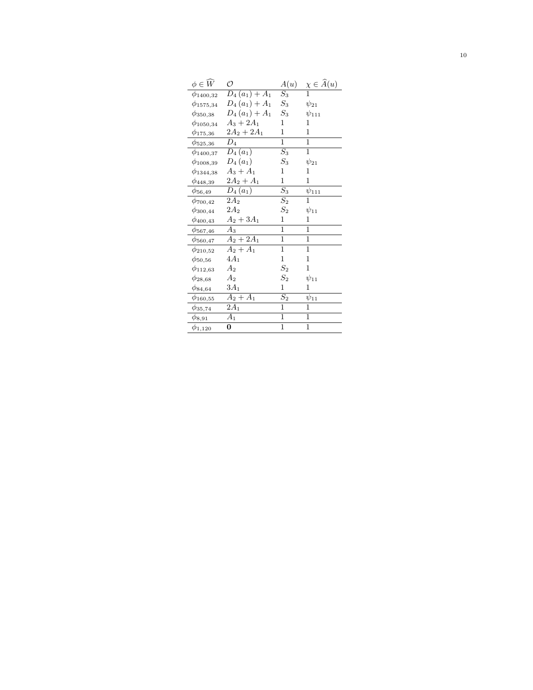| $\phi \in W$     | O                 | A(u)               | $\chi \in \widehat{A}(u)$ |
|------------------|-------------------|--------------------|---------------------------|
| $\phi_{1400,32}$ | $D_4(a_1) + A_1$  | $S_3$              | $\overline{1}$            |
| $\phi_{1575,34}$ | $D_4(a_1) + A_1$  | $\mathcal{S}_3$    | $\psi_{21}$               |
| $\phi_{350,38}$  | $D_4(a_1) + A_1$  | $\mathcal{S}_3$    | $\psi_{111}$              |
| $\phi_{1050,34}$ | $A_3 + 2A_1$      | 1                  | 1                         |
| $\phi_{175,36}$  | $2A_2 + 2A_1$     | 1                  | $\mathbf{1}$              |
| $\phi_{525,36}$  | $\overline{D_4}$  | 1                  | $\overline{1}$            |
| $\phi_{1400,37}$ | $D_4(a_1)$        | $\overline{S_3}$   | 1                         |
| $\phi_{1008,39}$ | $D_4(a_1)$        | $\mathcal{S}_3$    | $\psi_{21}$               |
| $\phi_{1344,38}$ | $A_3 + A_1$       | 1                  | 1                         |
| $\phi_{448,39}$  | $2A_2 + A_1$      | 1                  | 1                         |
| $\phi_{56,49}$   | $D_4(a_1)$        | $\overline{S_3}$   | $\psi_{111}$              |
| $\phi_{700,42}$  | $\overline{2A_2}$ | $\overline{S_2}$   | $\mathbf{1}$              |
| $\phi_{300,44}$  | $2A_2$            | $\scriptstyle S_2$ | $\psi_{11}$               |
| $\phi_{400,43}$  | $A_2 + 3A_1$      | 1                  | 1                         |
| $\phi_{567,46}$  | $A_3$             | 1                  | 1                         |
| $\phi_{560,47}$  | $A_2 + 2A_1$      | $\mathbf{1}$       | $\mathbf{1}$              |
| $\phi_{210,52}$  | $A_2 + A_1$       | $\mathbf{1}$       | $\mathbf{1}$              |
| $\phi_{50,56}$   | $4A_1$            | 1                  | 1                         |
| $\phi_{112,63}$  | $A_2$             | $S_2$              | 1                         |
| $\phi_{28,68}$   | $\mathcal{A}_2$   | $\scriptstyle S_2$ | $\psi_{11}$               |
| $\phi_{84,64}$   | $3A_1$            | 1                  | 1                         |
| $\phi_{160,55}$  | $A_2+A_1$         | $\mathcal{S}_2$    | $\psi_{11}$               |
| $\phi_{35,74}$   | $\overline{2}A_1$ | $\mathbf{1}$       | $\mathbf{1}$              |
| $\phi_{8,91}$    | $A_1$             | 1                  | 1                         |
| $\phi_{1,120}$   | 0                 | $\mathbf{1}$       | $\overline{1}$            |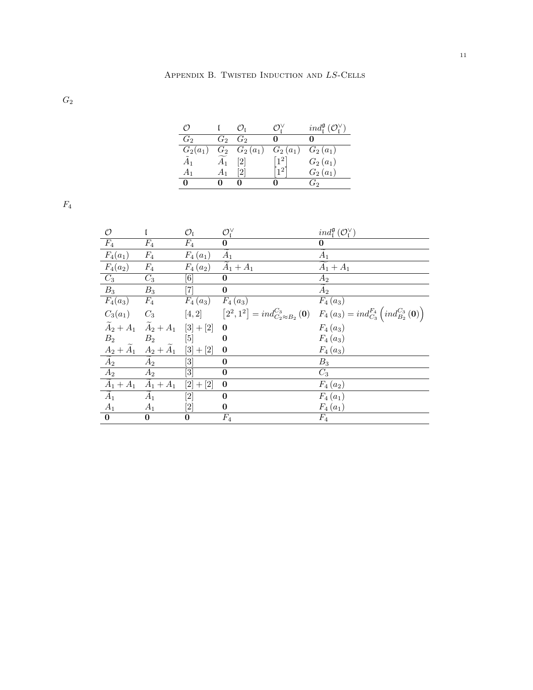$\mathcal{G}_2$ 

|               |       |            |            | $ind_{\mathfrak{r}}^{\mathfrak{g}}(\mathcal{O}_{\mathfrak{r}}^{\vee})$ |
|---------------|-------|------------|------------|------------------------------------------------------------------------|
| $G_2$         | $G_2$ | $G_2$      |            |                                                                        |
| $G_2(a_1)$    | $G_2$ | $G_2(a_1)$ | $G_2(a_1)$ | $G_2(a_1)$                                                             |
| $\tilde{A}_1$ |       | [2]        |            | $G_2(a_1)$                                                             |
| A1            |       |            |            | $G_{2}(a_{1})$                                                         |
|               |       |            |            | ່ກ່າ                                                                   |

 $\mathcal{F}_4$ 

| $\mathcal{O}$                                 |                                                 | $\mathcal{O}_{\mathfrak{l}}$                                                                                                                                                                         | $\mathcal{O}_I^{\vee}$ | $ind_{\mathfrak{l}}^{\mathfrak{g}}(\mathcal{O}_{\mathfrak{l}}^{\vee})$                                   |
|-----------------------------------------------|-------------------------------------------------|------------------------------------------------------------------------------------------------------------------------------------------------------------------------------------------------------|------------------------|----------------------------------------------------------------------------------------------------------|
| $F_4$                                         | $F_4$                                           | $F_{4}$                                                                                                                                                                                              | $\boldsymbol{0}$       | 0                                                                                                        |
| $F_4(a_1)$                                    | $F_4$                                           | $F_4(a_1)$                                                                                                                                                                                           | $\ddot{A}_1$           | $\tilde{A}_1$                                                                                            |
| $F_4(a_2)$                                    | $F_4$                                           | $F_4(a_2)$                                                                                                                                                                                           | $A_1 + A_1$            | $A_1 + A_1$                                                                                              |
| $C_3$                                         | $C_3$                                           | $[6] % \includegraphics[width=0.9\columnwidth]{figures/fig_0a.pdf} \caption{A small number of samples of the corresponding times. The number of samples are shown in the left panel.} \label{fig:1}$ | $\boldsymbol{0}$       | $A_2$                                                                                                    |
| $B_3$                                         | $B_3$                                           | $\left\lceil 7 \right\rceil$                                                                                                                                                                         | $\bf{0}$               | $A_2$                                                                                                    |
| $F_4(a_3)$                                    | $F_4$                                           | $F_4(a_3)$                                                                                                                                                                                           | $F_4(a_3)$             | $F_4(a_3)$                                                                                               |
| $C_3(a_1)$ $C_3$                              |                                                 |                                                                                                                                                                                                      |                        | $[4,2]$ $[2^2,1^2] = ind_{C_2 \approx B_2}^{C_3} (0)$ $F_4(a_3) = ind_{C_3}^{F_4} (ind_{B_2}^{C_3} (0))$ |
|                                               | $\widetilde{A}_2 + A_1$ $\widetilde{A}_2 + A_1$ | $[3] + [2]$                                                                                                                                                                                          | $\bf{0}$               | $F_4(a_3)$                                                                                               |
| B <sub>2</sub>                                | B <sub>2</sub>                                  | [5]                                                                                                                                                                                                  | $\bf{0}$               | $F_4(a_3)$                                                                                               |
|                                               | $A_2+\widetilde{A}_1 \quad A_2+\widetilde{A}_1$ | $[3] + [2]$                                                                                                                                                                                          | $\boldsymbol{0}$       | $F_4(a_3)$                                                                                               |
| $\widetilde{A}_2$                             | $A_2$                                           | [3]                                                                                                                                                                                                  | $\bf{0}$               | $B_3$                                                                                                    |
| $\frac{1}{42}$                                | $A_2$                                           | $[3] % \includegraphics[width=0.9\columnwidth]{figures/fig_1a} \caption{Schematic diagram of the top of the top of the top of the right.} \label{fig:1} %$                                           | $\bf{0}$               | $C_3$                                                                                                    |
| $\widetilde{A}_1 + A_1 \widetilde{A}_1 + A_1$ |                                                 | $[2] + [2]$                                                                                                                                                                                          | $\bf{0}$               | $F_4(a_2)$                                                                                               |
| $\widetilde{A}_1$                             | $A_1$                                           |                                                                                                                                                                                                      | $\bf{0}$               | $F_4(a_1)$                                                                                               |
| $A_1$                                         | $A_1$                                           | $[2] % \includegraphics[width=0.9\columnwidth]{figures/fig_2.pdf} \caption{Schematic diagram of the top of the top of the top of the right.} \label{fig:2}} %$                                       | $\bf{0}$               | $F_4(a_1)$                                                                                               |
| $\bf{0}$                                      | $\bf{0}$                                        | 0                                                                                                                                                                                                    | $F_4$                  | $F_4$                                                                                                    |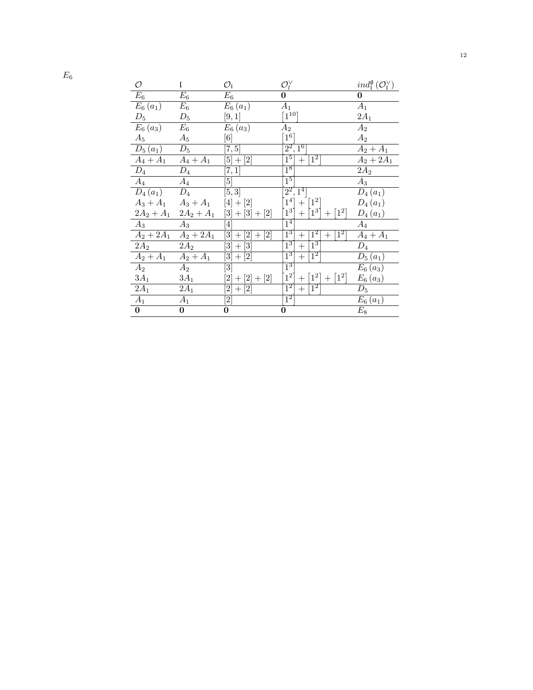| O                            | L                            | $\mathcal{O}_1$                                                                                                                                                                       | $\mathcal{O}_l^\vee$                                                | $ind_{\mathfrak{l}}^{\mathfrak{g}}(\mathcal{O}_{\mathfrak{l}}^{\vee})$ |
|------------------------------|------------------------------|---------------------------------------------------------------------------------------------------------------------------------------------------------------------------------------|---------------------------------------------------------------------|------------------------------------------------------------------------|
| $E_{\rm 6}$                  | $E_{\rm 6}$                  | $E_6$                                                                                                                                                                                 | 0                                                                   | $\bf{0}$                                                               |
| $E_6(a_1)$                   | $E_6$                        | $E_6(a_1)$                                                                                                                                                                            | $A_1$                                                               | $A_1$                                                                  |
| $\mathcal{D}_5$              | $D_5$                        | [9,1]                                                                                                                                                                                 | $\lceil 1^{10} \rceil$                                              | $2A_1$                                                                 |
| $E_6(a_3)$                   | $E_6$                        | $E_6(a_3)$                                                                                                                                                                            | $A_2$                                                               | $A_2$                                                                  |
| $A_5$                        | $A_5$                        | [6]                                                                                                                                                                                   | $\lceil 1^6 \rceil$                                                 | $A_2$                                                                  |
| $D_5(a_1)$                   | $D_5$                        | [7,5]                                                                                                                                                                                 | $\sqrt{2^2, 1^6}$                                                   | $A_2 + A_1$                                                            |
| $\overline{A_4} + A_1$       | $A_4 + A_1$                  | $[5] + [2]$                                                                                                                                                                           | $\overline{1^5}$<br>$ 1^2 $<br>$+$                                  | $A_2 + 2A_1$                                                           |
| $D_4$                        | $D_4$                        | [7,1]                                                                                                                                                                                 | $\overline{1^8}$                                                    | $2A_2$                                                                 |
| $\overline{A}_4$             | $A_4$                        | $\left\lceil 5 \right\rceil$                                                                                                                                                          | $1^5$                                                               | $A_3$                                                                  |
| $D_4(a_1)$                   | $D_4$                        | [5,3]                                                                                                                                                                                 | $[2^2, 1^4]$                                                        | $D_4(a_1)$                                                             |
|                              | $A_3 + A_1 \qquad A_3 + A_1$ | $[4] + [2]$                                                                                                                                                                           | $1^4$ + $1^2$                                                       | $D_4(a_1)$                                                             |
|                              | $2A_2 + A_1$ $2A_2 + A_1$    | $[3] + [3] + [2]$                                                                                                                                                                     | $1^3$<br>$+$ [1 <sup>3</sup> ]<br>$+ 1^2 $                          | $D_4(a_1)$                                                             |
| $\overline{A}_3$ —           | $A_3$                        | $[4] % \includegraphics[width=1\textwidth]{images/TrDiM-Architecture.png} \caption{The figure shows the results of the estimators in the left hand side.} \label{TrDiM-Architecture}$ | $\overline{1^4}$                                                    | $A_4$                                                                  |
|                              | $A_2 + 2A_1$ $A_2 + 2A_1$    | $\left\lceil 3 \right\rceil$<br>$\left[ 2\right]$<br>$\lceil 2 \rceil$<br>$^{+}$<br>$^{+}$                                                                                            | $\overline{1^3}$<br>$ 1^2 $<br>$\lceil 1^2 \rceil$<br>$+$<br>$^{+}$ | $A_4 + A_1$                                                            |
| $2A_2$                       | $2A_2$                       | $\left[ 3\right]$<br>$[3] % \includegraphics[width=1\textwidth]{images/Traj_4.pdf} \caption{Schematic diagram of the estimators in the image.} \label{fig:Traj_4.pdf}$<br>$^{+}$      | $1^3$<br>$ 1^3 $<br>$+$                                             | $D_4$                                                                  |
| $A_2 + A_1 \qquad A_2 + A_1$ |                              | $[3]+$<br>[2]                                                                                                                                                                         | $\overline{1^3}$<br>$\lceil 1^2 \rceil$<br>$+$                      | $D_5(a_1)$                                                             |
| $\overline{A}_2$             | $A_2$                        | [3]                                                                                                                                                                                   | $\overline{1^3}$                                                    | $E_6(a_3)$                                                             |
| $3A_1$                       | $3A_1$                       | $[2]+[2]+[2]$                                                                                                                                                                         | $\left\lfloor 1^2 \right\rfloor$<br>$+[1^2]+[1^2]$                  | $E_6(a_3)$                                                             |
| $2A_1$                       | $2A_1$                       | 2 <br>$^{+}$                                                                                                                                                                          | $\overline{1^2}$<br>$ 1^2 $<br>$^{+}$                               | $D_5$                                                                  |
| $A_1$                        | $A_1$                        | $[2] % \includegraphics[width=0.9\columnwidth]{figures/fig_2.pdf} \caption{Schematic diagram of the top of the top of the top of the right.} \label{fig:2}} %$                        | $\overline{1^2}$                                                    | $E_6(a_1)$                                                             |
| $\boldsymbol{0}$             | 0                            | 0                                                                                                                                                                                     | 0                                                                   | $\overline{E_{8}}$                                                     |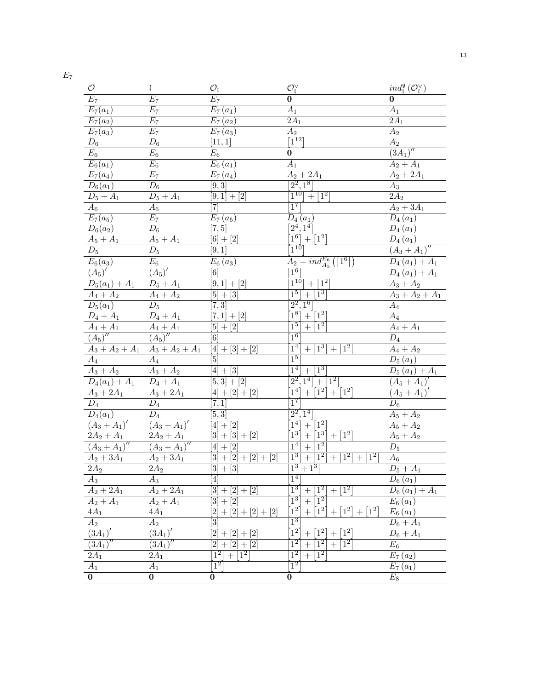| $\cal O$                          | L                            | $\mathcal{O}_{\mathfrak{l}}$                                                                                                                                                        | $\mathcal{O}_I^{\vee}$                                                                           | $ind_{\mathfrak{l}}^{\mathfrak{g}}(\mathcal{O}_{\mathfrak{l}}^{\vee})$ |
|-----------------------------------|------------------------------|-------------------------------------------------------------------------------------------------------------------------------------------------------------------------------------|--------------------------------------------------------------------------------------------------|------------------------------------------------------------------------|
| $E_7$                             | $E_7$                        | $E_7$                                                                                                                                                                               | $\bf{0}$                                                                                         | $\bf{0}$                                                               |
| $E_7(a_1)$                        | $E_7$                        | $E_7(a_1)$                                                                                                                                                                          | $A_1$                                                                                            | $\overline{A}_1$                                                       |
| $\overline{E}_7(a_2)$             | $E_7$                        | $E_7(a_2)$                                                                                                                                                                          | $2A_1$                                                                                           | $\overline{2A_1}$                                                      |
| $E_7(a_3)$                        | $E_7$                        | $E_7(a_3)$                                                                                                                                                                          | A <sub>2</sub>                                                                                   | $A_2$                                                                  |
| ${\mathcal D}_6$                  | ${\mathcal D}_6$             | [11, 1]                                                                                                                                                                             | $\lceil 1^{12} \rceil$                                                                           | $A_2$                                                                  |
| $E_6$                             | $E_6$                        | $E_6$                                                                                                                                                                               | $\bf{0}$                                                                                         | $(\overline{3A_1})''$                                                  |
| $E_6(a_1)$                        | $E_6$                        | $E_6(a_1)$                                                                                                                                                                          | $A_1$                                                                                            | $A_2 + A_1$                                                            |
| $E_7(a_4)$                        | $E_7$                        | $\overline{E}_7\left(a_4\right)$                                                                                                                                                    | $A_2 + 2A_1$                                                                                     | $A_2 + 2\overline{A_1}$                                                |
| $D_6(a_1)$                        | $D_6$                        | $\overline{[9,3]}$                                                                                                                                                                  | $[2^2, 1^8]$                                                                                     | $A_3$                                                                  |
| $D_5 + A_1$                       | $D_5 + A_1$                  | $[9,1]+\overline{[2]}$                                                                                                                                                              | $1^{10}$ + $1^2$                                                                                 | $\overline{2A_2}$                                                      |
| $A_6$                             | $A_6$                        | [7]                                                                                                                                                                                 | $\overline{1^7}$                                                                                 | $A_2 + 3A_1$                                                           |
| $\overline{E_7(a_5)}$             | $E_7\,$                      | $E_7(a_5)$                                                                                                                                                                          | $D_4(a_1)$                                                                                       | $D_4(a_1)$                                                             |
| $D_6(a_2)$                        | $D_6$                        | [7, 5]                                                                                                                                                                              | $[2^4, 1^4]$                                                                                     | $D_4(a_1)$                                                             |
| $A_5 + A_1$                       | $A_5 + A_1$                  | $[6] + [2]$                                                                                                                                                                         | $1^6\big] + \big[ 1^2 \big]$                                                                     | $D_4(a_1)$                                                             |
| $\mathcal{D}_5$                   | $D_5$                        | [9,1]                                                                                                                                                                               | $\frac{1}{1^{10}}$                                                                               | $(A_3 + A_1)''$                                                        |
| $E_6(a_3)$                        | $E_{\rm 6}$                  | $E_6(a_3)$                                                                                                                                                                          | $A_2 = ind_{A_5}^{E_6}([1^6])$                                                                   | $D_4(a_1) + A_1$                                                       |
| $(A_5)'$                          | $(A_5)'$                     | [6]                                                                                                                                                                                 | 1 <sup>6</sup>                                                                                   | $D_4(a_1) + A_1$                                                       |
| $D_5(a_1) + A_1$                  | $D_5 + A_1$                  | $[9,1] + [2]$                                                                                                                                                                       | $1^{10}$ + $1^2$                                                                                 | $A_3 + A_2$                                                            |
| $A_4 + A_2$                       | $A_4 + A_2$                  | $[5] + [3]$                                                                                                                                                                         | $+1^{3}$<br>1 <sup>5</sup>                                                                       | $A_3 + A_2 + A_1$                                                      |
| $D_5(a_1)$                        | $D_5$                        | $[\overline{7,3}]$                                                                                                                                                                  | $[2^2, 1^6]$                                                                                     | $A_4$                                                                  |
| $D_4 + A_1$                       | $D_4 + A_1$                  | $[7,1] + [2]$                                                                                                                                                                       | $1^8$ + [1 <sup>2</sup> ]                                                                        | $\mathcal{A}_4$                                                        |
| $A_4 + A_1$                       | $A_4 + A_1$                  | $[5] + [2]$                                                                                                                                                                         | $\overline{1^5}$<br>$\overline{+}$<br>$\lceil 1^2 \rceil$                                        | $\overline{A_4+A_1}$                                                   |
| $\overline{(A_5)}^{\prime\prime}$ | $(A_5)''$                    | $\left[ 6\right]$                                                                                                                                                                   | $1^6$                                                                                            | $D_4$                                                                  |
| $A_3 + A_2 + A_1$                 | $A_3 + A_2 + \overline{A_1}$ | $\boxed{4} + [3] + [2]$                                                                                                                                                             | $\overline{1^4}$<br>$\overline{1^3}$<br>$\overline{1^2}$<br>$\boldsymbol{+}$<br>$^{+}$           | $A_4 + A_2$                                                            |
| $A_4$                             | $A_4$                        | [5]                                                                                                                                                                                 | $\overline{1^5}$                                                                                 | $D_5(a_1)$                                                             |
| $A_3 + A_2$                       | $A_3 + A_2$                  | $[4] + \overline{[3]}$                                                                                                                                                              | $\overline{1^4}$<br>$\lceil 1^3 \rceil$<br>$+$                                                   | $D_5(a_1) + A_1$                                                       |
| $D_4(a_1) + A_1$                  | $D_4 + A_1$                  | $[5,3]+[2]$                                                                                                                                                                         | $\boxed{2^2,1^4} + \boxed{1^2}$                                                                  | $(A_5 + A_1)'$                                                         |
| $A_3 + 2A_1$                      | $A_3 + 2A_1$                 | $[4] + [2] + [2]$                                                                                                                                                                   | $\left[1^{4}\right]$<br>$+$ [1 <sup>2</sup> ]<br>$+ [1^2]$                                       | $(A_5 + A_1)'$                                                         |
| $D_4$                             | $D_4$                        | [7,1]                                                                                                                                                                               | $\overline{1^7}$                                                                                 | $D_6$                                                                  |
| $\overline{D_4(a_1)}$             | $D_4$                        | [5, 3]                                                                                                                                                                              | $[2^2, 1^4]$                                                                                     | $A_5 + A_2$                                                            |
| $(A_3 + A_1)'$                    | $(A_3 + A_1)'$               | $[4] + [2]$                                                                                                                                                                         | $[1^4] + [1^2]$                                                                                  | $A_5 + A_2$                                                            |
| $2A_2 + A_1$                      | $2A_2 + A_1$                 | $[3] + [3] + [2]$                                                                                                                                                                   | $\lceil 1^3 \rceil$<br>$+ [1^3]$<br>$+ [1^2]$                                                    | $A_5 + A_2$                                                            |
| $(A_3 + A_1)''$                   | $(A_3 + A_1)''$              | $[4] + [2]$                                                                                                                                                                         | $\overline{1^4}$<br>$\overline{1^2}$<br>$\ddot{}$                                                | $D_5$                                                                  |
| $A_2 + 3A_1$                      | $A_2 + 3A_1$                 | $[3] + [2] + [2] + [2]$                                                                                                                                                             | $\overline{1^3}$<br>$+$ [1 <sup>2</sup> ]<br>$\lceil 1^2 \rceil$<br>$+1^{2}$<br>$\boldsymbol{+}$ | $A_6$                                                                  |
| $\overline{2A_2}$                 | $2A_2$                       | $[3]+[3]$                                                                                                                                                                           | $1^3 + 1^3$                                                                                      | $D_5 + A_1$                                                            |
| $A_3$                             | $A_3$                        | $\left[4\right]$                                                                                                                                                                    | $\mathbf{1}^4$                                                                                   | $D_6(a_1)$                                                             |
| $A_2+\overline{2A_1}$             | $A_2 + 2A_1$                 | 3 <br>$+[2]+[2]$                                                                                                                                                                    | $\overline{1^3}$<br>$1^2$<br>$1^2$                                                               | $D_6(a_1) + A_1$                                                       |
| $A_2 + \overline{A_1}$            | $A_2 + \overline{A_1}$       | $+$ [2]<br>$[3] % \includegraphics[width=1\textwidth]{images/TrDiM-Architecture.png} \caption{The figure shows the number of three different ways.} \label{fig:TrDiM-Architecture}$ | $\overline{1^2}$<br>$\overline{1^3}$<br>$^{+}$                                                   | $E_6(a_1)$                                                             |
| $4A_1$                            | $4A_1$                       | $+[2]$<br>$\overline{2}$<br>$+$ [2]<br>$+[2]$                                                                                                                                       | $1^2$<br>$ 1^2 $<br>$\lceil 1^2 \rceil$<br>1 <sup>2</sup>                                        | $E_6(a_1)$                                                             |
| $\overline{A_2}$                  | $A_2$                        | $\left 3\right $                                                                                                                                                                    | $\overline{1^3}$                                                                                 | $D_6 + A_1$                                                            |
| $(3A_1)'$                         | $(3A_1)'$                    | $\left 2\right\rangle$<br>$\left[ 2\right]$<br>$\left[2\right]$<br>$^{+}$                                                                                                           | 1 <sup>2</sup><br>1 <sup>2</sup>                                                                 | $D_6 + A_1$                                                            |
| $(3A_1)$                          | $\overline{(3A_1)}$          | [2]<br>$\left[ 2\right]$<br>[2]<br>$\boldsymbol{+}$                                                                                                                                 | $\overline{1^2}$<br>$\overline{1^2}$<br>$\overline{1^2}$<br>$^{+}$                               | $E_6$                                                                  |
| $\overline{2A_1}$                 | $2A_1$                       | $\lceil 1^2 \rceil$<br>$1^{2}$                                                                                                                                                      | $\overline{1^2}$<br>$\overline{1^2}$                                                             | $E_7(a_2)$                                                             |
| $\overline{A_1}$                  | $A_1$                        | $\overline{1^2}$                                                                                                                                                                    | $\overline{1^2}$                                                                                 | $E_7(a_1)$                                                             |
| $\overline{0}$                    | $\boldsymbol{0}$             | $\bf{0}$                                                                                                                                                                            | $\boldsymbol{0}$                                                                                 | $E_8$                                                                  |